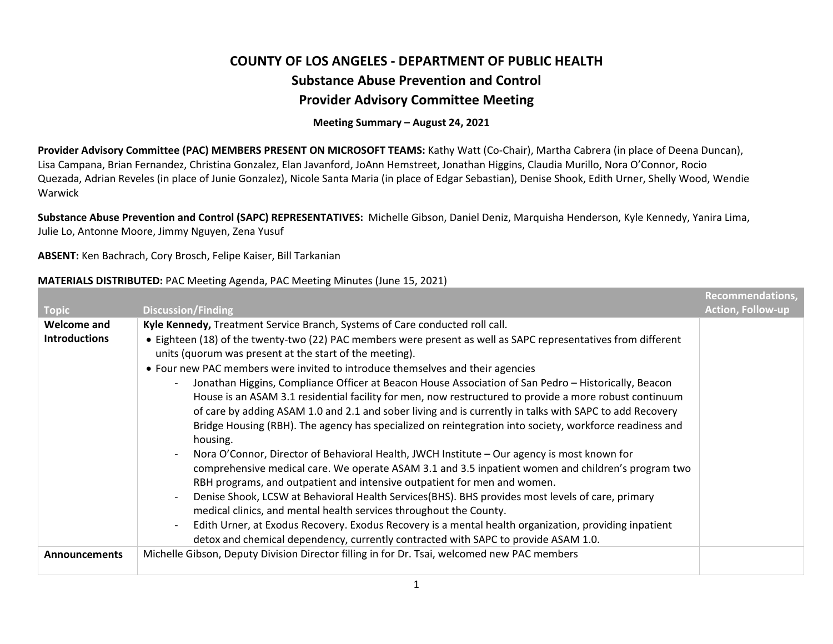## **COUNTY OF LOS ANGELES ‐ DEPARTMENT OF PUBLIC HEALTHSubstance Abuse Prevention and Control Provider Advisory Committee Meeting**

## **Meeting Summary – August 24, 2021**

**Provider Advisory Committee (PAC) MEMBERS PRESENT ON MICROSOFT TEAMS:** Kathy Watt (Co‐Chair), Martha Cabrera (in place of Deena Duncan), Lisa Campana, Brian Fernandez, Christina Gonzalez, Elan Javanford, JoAnn Hemstreet, Jonathan Higgins, Claudia Murillo, Nora O'Connor, Rocio Quezada, Adrian Reveles (in place of Junie Gonzalez), Nicole Santa Maria (in place of Edgar Sebastian), Denise Shook, Edith Urner, Shelly Wood, Wendie Warwick

**Substance Abuse Prevention and Control (SAPC) REPRESENTATIVES:** Michelle Gibson, Daniel Deniz, Marquisha Henderson, Kyle Kennedy, Yanira Lima, Julie Lo, Antonne Moore, Jimmy Nguyen, Zena Yusuf

**ABSENT:** Ken Bachrach, Cory Brosch, Felipe Kaiser, Bill Tarkanian

## **MATERIALS DISTRIBUTED:** PAC Meeting Agenda, PAC Meeting Minutes (June 15, 2021)

|                      |                                                                                                                                                                           | <b>Recommendations,</b>  |
|----------------------|---------------------------------------------------------------------------------------------------------------------------------------------------------------------------|--------------------------|
| <b>Topic</b>         | <b>Discussion/Finding</b>                                                                                                                                                 | <b>Action, Follow-up</b> |
| Welcome and          | Kyle Kennedy, Treatment Service Branch, Systems of Care conducted roll call.                                                                                              |                          |
| <b>Introductions</b> | • Eighteen (18) of the twenty-two (22) PAC members were present as well as SAPC representatives from different<br>units (quorum was present at the start of the meeting). |                          |
|                      | • Four new PAC members were invited to introduce themselves and their agencies                                                                                            |                          |
|                      | Jonathan Higgins, Compliance Officer at Beacon House Association of San Pedro - Historically, Beacon                                                                      |                          |
|                      | House is an ASAM 3.1 residential facility for men, now restructured to provide a more robust continuum                                                                    |                          |
|                      | of care by adding ASAM 1.0 and 2.1 and sober living and is currently in talks with SAPC to add Recovery                                                                   |                          |
|                      | Bridge Housing (RBH). The agency has specialized on reintegration into society, workforce readiness and<br>housing.                                                       |                          |
|                      | Nora O'Connor, Director of Behavioral Health, JWCH Institute - Our agency is most known for                                                                               |                          |
|                      | comprehensive medical care. We operate ASAM 3.1 and 3.5 inpatient women and children's program two                                                                        |                          |
|                      | RBH programs, and outpatient and intensive outpatient for men and women.                                                                                                  |                          |
|                      | Denise Shook, LCSW at Behavioral Health Services (BHS). BHS provides most levels of care, primary                                                                         |                          |
|                      | medical clinics, and mental health services throughout the County.                                                                                                        |                          |
|                      | Edith Urner, at Exodus Recovery. Exodus Recovery is a mental health organization, providing inpatient<br>$\overline{\phantom{a}}$                                         |                          |
|                      | detox and chemical dependency, currently contracted with SAPC to provide ASAM 1.0.                                                                                        |                          |
| <b>Announcements</b> | Michelle Gibson, Deputy Division Director filling in for Dr. Tsai, welcomed new PAC members                                                                               |                          |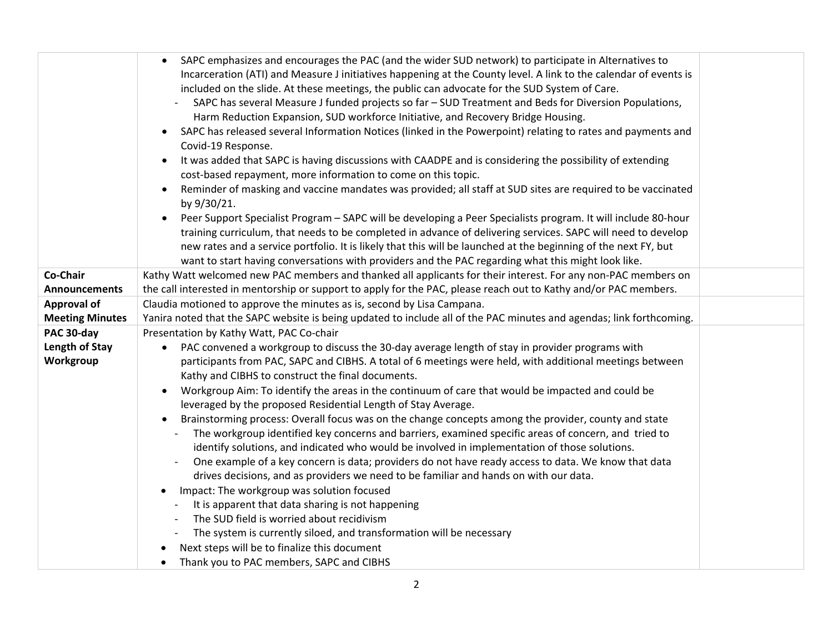|                        | SAPC emphasizes and encourages the PAC (and the wider SUD network) to participate in Alternatives to<br>$\bullet$<br>Incarceration (ATI) and Measure J initiatives happening at the County level. A link to the calendar of events is<br>included on the slide. At these meetings, the public can advocate for the SUD System of Care.<br>SAPC has several Measure J funded projects so far - SUD Treatment and Beds for Diversion Populations,<br>Harm Reduction Expansion, SUD workforce Initiative, and Recovery Bridge Housing.<br>SAPC has released several Information Notices (linked in the Powerpoint) relating to rates and payments and<br>$\bullet$<br>Covid-19 Response.<br>It was added that SAPC is having discussions with CAADPE and is considering the possibility of extending<br>cost-based repayment, more information to come on this topic.<br>Reminder of masking and vaccine mandates was provided; all staff at SUD sites are required to be vaccinated<br>by 9/30/21.<br>Peer Support Specialist Program - SAPC will be developing a Peer Specialists program. It will include 80-hour<br>training curriculum, that needs to be completed in advance of delivering services. SAPC will need to develop<br>new rates and a service portfolio. It is likely that this will be launched at the beginning of the next FY, but<br>want to start having conversations with providers and the PAC regarding what this might look like. |  |
|------------------------|------------------------------------------------------------------------------------------------------------------------------------------------------------------------------------------------------------------------------------------------------------------------------------------------------------------------------------------------------------------------------------------------------------------------------------------------------------------------------------------------------------------------------------------------------------------------------------------------------------------------------------------------------------------------------------------------------------------------------------------------------------------------------------------------------------------------------------------------------------------------------------------------------------------------------------------------------------------------------------------------------------------------------------------------------------------------------------------------------------------------------------------------------------------------------------------------------------------------------------------------------------------------------------------------------------------------------------------------------------------------------------------------------------------------------------------------------------|--|
| Co-Chair               | Kathy Watt welcomed new PAC members and thanked all applicants for their interest. For any non-PAC members on                                                                                                                                                                                                                                                                                                                                                                                                                                                                                                                                                                                                                                                                                                                                                                                                                                                                                                                                                                                                                                                                                                                                                                                                                                                                                                                                              |  |
| <b>Announcements</b>   | the call interested in mentorship or support to apply for the PAC, please reach out to Kathy and/or PAC members.                                                                                                                                                                                                                                                                                                                                                                                                                                                                                                                                                                                                                                                                                                                                                                                                                                                                                                                                                                                                                                                                                                                                                                                                                                                                                                                                           |  |
| <b>Approval of</b>     | Claudia motioned to approve the minutes as is, second by Lisa Campana.                                                                                                                                                                                                                                                                                                                                                                                                                                                                                                                                                                                                                                                                                                                                                                                                                                                                                                                                                                                                                                                                                                                                                                                                                                                                                                                                                                                     |  |
| <b>Meeting Minutes</b> | Yanira noted that the SAPC website is being updated to include all of the PAC minutes and agendas; link forthcoming.                                                                                                                                                                                                                                                                                                                                                                                                                                                                                                                                                                                                                                                                                                                                                                                                                                                                                                                                                                                                                                                                                                                                                                                                                                                                                                                                       |  |
| PAC 30-day             | Presentation by Kathy Watt, PAC Co-chair                                                                                                                                                                                                                                                                                                                                                                                                                                                                                                                                                                                                                                                                                                                                                                                                                                                                                                                                                                                                                                                                                                                                                                                                                                                                                                                                                                                                                   |  |
| Length of Stay         | PAC convened a workgroup to discuss the 30-day average length of stay in provider programs with<br>$\bullet$                                                                                                                                                                                                                                                                                                                                                                                                                                                                                                                                                                                                                                                                                                                                                                                                                                                                                                                                                                                                                                                                                                                                                                                                                                                                                                                                               |  |
| Workgroup              | participants from PAC, SAPC and CIBHS. A total of 6 meetings were held, with additional meetings between                                                                                                                                                                                                                                                                                                                                                                                                                                                                                                                                                                                                                                                                                                                                                                                                                                                                                                                                                                                                                                                                                                                                                                                                                                                                                                                                                   |  |
|                        | Kathy and CIBHS to construct the final documents.                                                                                                                                                                                                                                                                                                                                                                                                                                                                                                                                                                                                                                                                                                                                                                                                                                                                                                                                                                                                                                                                                                                                                                                                                                                                                                                                                                                                          |  |
|                        | Workgroup Aim: To identify the areas in the continuum of care that would be impacted and could be                                                                                                                                                                                                                                                                                                                                                                                                                                                                                                                                                                                                                                                                                                                                                                                                                                                                                                                                                                                                                                                                                                                                                                                                                                                                                                                                                          |  |
|                        | leveraged by the proposed Residential Length of Stay Average.                                                                                                                                                                                                                                                                                                                                                                                                                                                                                                                                                                                                                                                                                                                                                                                                                                                                                                                                                                                                                                                                                                                                                                                                                                                                                                                                                                                              |  |
|                        | Brainstorming process: Overall focus was on the change concepts among the provider, county and state                                                                                                                                                                                                                                                                                                                                                                                                                                                                                                                                                                                                                                                                                                                                                                                                                                                                                                                                                                                                                                                                                                                                                                                                                                                                                                                                                       |  |
|                        | The workgroup identified key concerns and barriers, examined specific areas of concern, and tried to<br>identify solutions, and indicated who would be involved in implementation of those solutions.                                                                                                                                                                                                                                                                                                                                                                                                                                                                                                                                                                                                                                                                                                                                                                                                                                                                                                                                                                                                                                                                                                                                                                                                                                                      |  |
|                        | One example of a key concern is data; providers do not have ready access to data. We know that data                                                                                                                                                                                                                                                                                                                                                                                                                                                                                                                                                                                                                                                                                                                                                                                                                                                                                                                                                                                                                                                                                                                                                                                                                                                                                                                                                        |  |
|                        | drives decisions, and as providers we need to be familiar and hands on with our data.                                                                                                                                                                                                                                                                                                                                                                                                                                                                                                                                                                                                                                                                                                                                                                                                                                                                                                                                                                                                                                                                                                                                                                                                                                                                                                                                                                      |  |
|                        | Impact: The workgroup was solution focused                                                                                                                                                                                                                                                                                                                                                                                                                                                                                                                                                                                                                                                                                                                                                                                                                                                                                                                                                                                                                                                                                                                                                                                                                                                                                                                                                                                                                 |  |
|                        | It is apparent that data sharing is not happening                                                                                                                                                                                                                                                                                                                                                                                                                                                                                                                                                                                                                                                                                                                                                                                                                                                                                                                                                                                                                                                                                                                                                                                                                                                                                                                                                                                                          |  |
|                        | The SUD field is worried about recidivism                                                                                                                                                                                                                                                                                                                                                                                                                                                                                                                                                                                                                                                                                                                                                                                                                                                                                                                                                                                                                                                                                                                                                                                                                                                                                                                                                                                                                  |  |
|                        | The system is currently siloed, and transformation will be necessary                                                                                                                                                                                                                                                                                                                                                                                                                                                                                                                                                                                                                                                                                                                                                                                                                                                                                                                                                                                                                                                                                                                                                                                                                                                                                                                                                                                       |  |
|                        | Next steps will be to finalize this document                                                                                                                                                                                                                                                                                                                                                                                                                                                                                                                                                                                                                                                                                                                                                                                                                                                                                                                                                                                                                                                                                                                                                                                                                                                                                                                                                                                                               |  |
|                        | Thank you to PAC members, SAPC and CIBHS<br>$\bullet$                                                                                                                                                                                                                                                                                                                                                                                                                                                                                                                                                                                                                                                                                                                                                                                                                                                                                                                                                                                                                                                                                                                                                                                                                                                                                                                                                                                                      |  |
|                        |                                                                                                                                                                                                                                                                                                                                                                                                                                                                                                                                                                                                                                                                                                                                                                                                                                                                                                                                                                                                                                                                                                                                                                                                                                                                                                                                                                                                                                                            |  |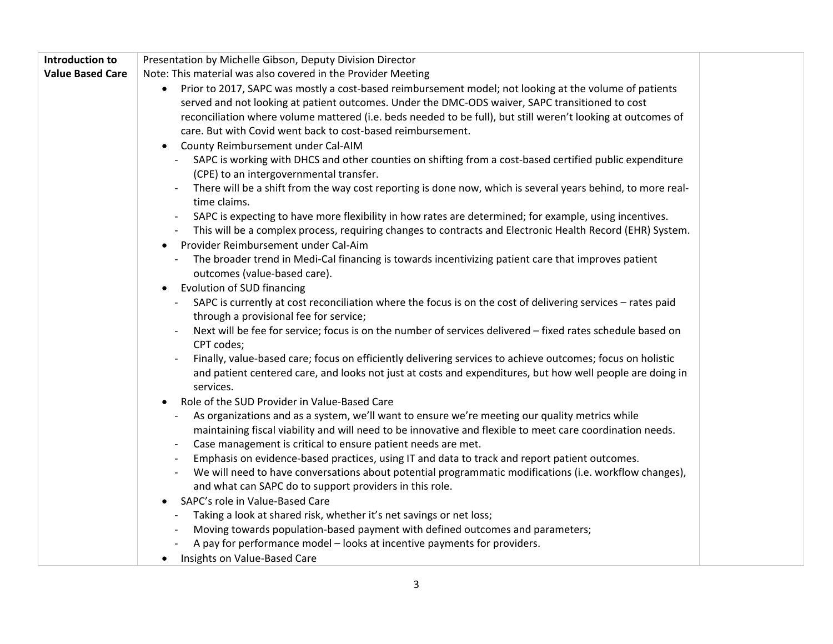| Introduction to         | Presentation by Michelle Gibson, Deputy Division Director                                                                                            |  |
|-------------------------|------------------------------------------------------------------------------------------------------------------------------------------------------|--|
| <b>Value Based Care</b> | Note: This material was also covered in the Provider Meeting                                                                                         |  |
|                         | Prior to 2017, SAPC was mostly a cost-based reimbursement model; not looking at the volume of patients<br>$\bullet$                                  |  |
|                         | served and not looking at patient outcomes. Under the DMC-ODS waiver, SAPC transitioned to cost                                                      |  |
|                         | reconciliation where volume mattered (i.e. beds needed to be full), but still weren't looking at outcomes of                                         |  |
|                         | care. But with Covid went back to cost-based reimbursement.                                                                                          |  |
|                         | County Reimbursement under Cal-AIM<br>$\bullet$                                                                                                      |  |
|                         | - SAPC is working with DHCS and other counties on shifting from a cost-based certified public expenditure                                            |  |
|                         | (CPE) to an intergovernmental transfer.                                                                                                              |  |
|                         | There will be a shift from the way cost reporting is done now, which is several years behind, to more real-                                          |  |
|                         | time claims.                                                                                                                                         |  |
|                         | SAPC is expecting to have more flexibility in how rates are determined; for example, using incentives.                                               |  |
|                         | This will be a complex process, requiring changes to contracts and Electronic Health Record (EHR) System.                                            |  |
|                         | Provider Reimbursement under Cal-Aim<br>$\bullet$                                                                                                    |  |
|                         | The broader trend in Medi-Cal financing is towards incentivizing patient care that improves patient                                                  |  |
|                         | outcomes (value-based care).                                                                                                                         |  |
|                         | • Evolution of SUD financing                                                                                                                         |  |
|                         | SAPC is currently at cost reconciliation where the focus is on the cost of delivering services - rates paid                                          |  |
|                         | through a provisional fee for service;                                                                                                               |  |
|                         | Next will be fee for service; focus is on the number of services delivered - fixed rates schedule based on                                           |  |
|                         | CPT codes;                                                                                                                                           |  |
|                         | Finally, value-based care; focus on efficiently delivering services to achieve outcomes; focus on holistic                                           |  |
|                         | and patient centered care, and looks not just at costs and expenditures, but how well people are doing in                                            |  |
|                         | services.                                                                                                                                            |  |
|                         | Role of the SUD Provider in Value-Based Care<br>$\bullet$                                                                                            |  |
|                         | As organizations and as a system, we'll want to ensure we're meeting our quality metrics while                                                       |  |
|                         | maintaining fiscal viability and will need to be innovative and flexible to meet care coordination needs.                                            |  |
|                         | Case management is critical to ensure patient needs are met.                                                                                         |  |
|                         | Emphasis on evidence-based practices, using IT and data to track and report patient outcomes.                                                        |  |
|                         | We will need to have conversations about potential programmatic modifications (i.e. workflow changes),                                               |  |
|                         | and what can SAPC do to support providers in this role.<br>SAPC's role in Value-Based Care                                                           |  |
|                         |                                                                                                                                                      |  |
|                         | Taking a look at shared risk, whether it's net savings or net loss;<br>Moving towards population-based payment with defined outcomes and parameters; |  |
|                         | A pay for performance model - looks at incentive payments for providers.                                                                             |  |
|                         | • Insights on Value-Based Care                                                                                                                       |  |
|                         |                                                                                                                                                      |  |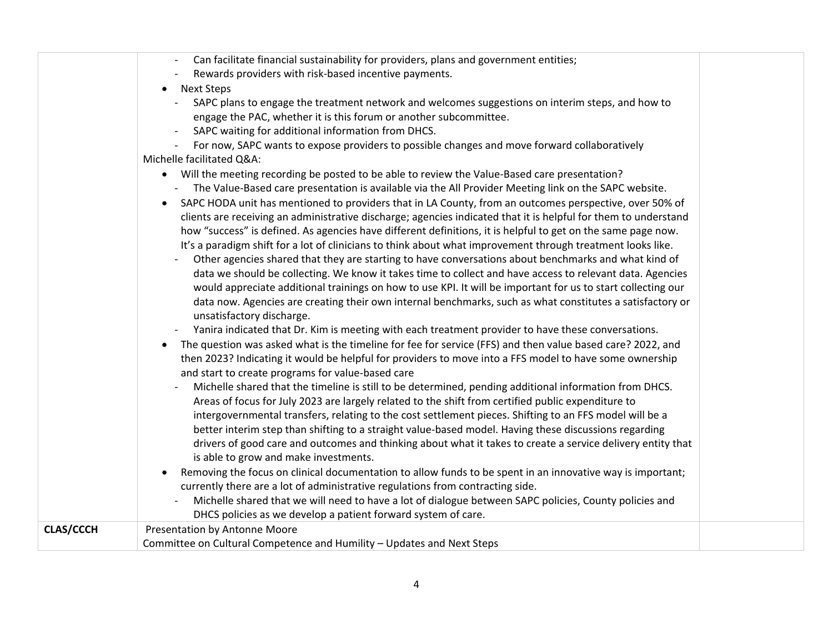|                  | Can facilitate financial sustainability for providers, plans and government entities;                                   |  |
|------------------|-------------------------------------------------------------------------------------------------------------------------|--|
|                  | Rewards providers with risk-based incentive payments.                                                                   |  |
|                  | Next Steps<br>$\bullet$                                                                                                 |  |
|                  | SAPC plans to engage the treatment network and welcomes suggestions on interim steps, and how to                        |  |
|                  | engage the PAC, whether it is this forum or another subcommittee.                                                       |  |
|                  | SAPC waiting for additional information from DHCS.                                                                      |  |
|                  | For now, SAPC wants to expose providers to possible changes and move forward collaboratively                            |  |
|                  | Michelle facilitated Q&A:                                                                                               |  |
|                  | Will the meeting recording be posted to be able to review the Value-Based care presentation?<br>$\bullet$               |  |
|                  | The Value-Based care presentation is available via the All Provider Meeting link on the SAPC website.                   |  |
|                  | SAPC HODA unit has mentioned to providers that in LA County, from an outcomes perspective, over 50% of                  |  |
|                  | clients are receiving an administrative discharge; agencies indicated that it is helpful for them to understand         |  |
|                  | how "success" is defined. As agencies have different definitions, it is helpful to get on the same page now.            |  |
|                  | It's a paradigm shift for a lot of clinicians to think about what improvement through treatment looks like.             |  |
|                  | Other agencies shared that they are starting to have conversations about benchmarks and what kind of                    |  |
|                  | data we should be collecting. We know it takes time to collect and have access to relevant data. Agencies               |  |
|                  | would appreciate additional trainings on how to use KPI. It will be important for us to start collecting our            |  |
|                  | data now. Agencies are creating their own internal benchmarks, such as what constitutes a satisfactory or               |  |
|                  |                                                                                                                         |  |
|                  | unsatisfactory discharge.                                                                                               |  |
|                  | Yanira indicated that Dr. Kim is meeting with each treatment provider to have these conversations.                      |  |
|                  | The question was asked what is the timeline for fee for service (FFS) and then value based care? 2022, and<br>$\bullet$ |  |
|                  | then 2023? Indicating it would be helpful for providers to move into a FFS model to have some ownership                 |  |
|                  | and start to create programs for value-based care                                                                       |  |
|                  | Michelle shared that the timeline is still to be determined, pending additional information from DHCS.                  |  |
|                  | Areas of focus for July 2023 are largely related to the shift from certified public expenditure to                      |  |
|                  | intergovernmental transfers, relating to the cost settlement pieces. Shifting to an FFS model will be a                 |  |
|                  | better interim step than shifting to a straight value-based model. Having these discussions regarding                   |  |
|                  | drivers of good care and outcomes and thinking about what it takes to create a service delivery entity that             |  |
|                  | is able to grow and make investments.                                                                                   |  |
|                  | Removing the focus on clinical documentation to allow funds to be spent in an innovative way is important;              |  |
|                  | currently there are a lot of administrative regulations from contracting side.                                          |  |
|                  | Michelle shared that we will need to have a lot of dialogue between SAPC policies, County policies and                  |  |
|                  | DHCS policies as we develop a patient forward system of care.                                                           |  |
| <b>CLAS/CCCH</b> | Presentation by Antonne Moore                                                                                           |  |
|                  | Committee on Cultural Competence and Humility - Updates and Next Steps                                                  |  |